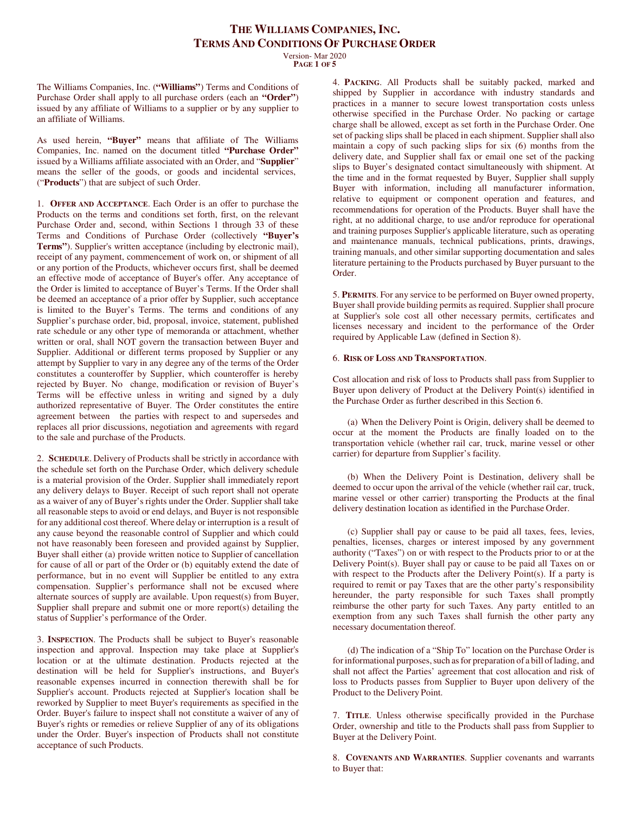Version- Mar 2020 **PAGE 1 OF 5**

The Williams Companies, Inc. (**"Williams"**) Terms and Conditions of Purchase Order shall apply to all purchase orders (each an **"Order"**) issued by any affiliate of Williams to a supplier or by any supplier to an affiliate of Williams.

As used herein, **"Buyer"** means that affiliate of The Williams Companies, Inc. named on the document titled **"Purchase Order"**  issued by a Williams affiliate associated with an Order, and "**Supplier**" means the seller of the goods, or goods and incidental services, ("**Products**") that are subject of such Order.

1. **OFFER AND ACCEPTANCE**. Each Order is an offer to purchase the Products on the terms and conditions set forth, first, on the relevant Purchase Order and, second, within Sections 1 through 33 of these Terms and Conditions of Purchase Order (collectively **"Buyer's Terms"**). Supplier's written acceptance (including by electronic mail), receipt of any payment, commencement of work on, or shipment of all or any portion of the Products, whichever occurs first, shall be deemed an effective mode of acceptance of Buyer's offer. Any acceptance of the Order is limited to acceptance of Buyer's Terms. If the Order shall be deemed an acceptance of a prior offer by Supplier, such acceptance is limited to the Buyer's Terms. The terms and conditions of any Supplier's purchase order, bid, proposal, invoice, statement, published rate schedule or any other type of memoranda or attachment, whether written or oral, shall NOT govern the transaction between Buyer and Supplier. Additional or different terms proposed by Supplier or any attempt by Supplier to vary in any degree any of the terms of the Order constitutes a counteroffer by Supplier, which counteroffer is hereby rejected by Buyer. No change, modification or revision of Buyer's Terms will be effective unless in writing and signed by a duly authorized representative of Buyer. The Order constitutes the entire agreement between the parties with respect to and supersedes and replaces all prior discussions, negotiation and agreements with regard to the sale and purchase of the Products.

2. **SCHEDULE**. Delivery of Products shall be strictly in accordance with the schedule set forth on the Purchase Order, which delivery schedule is a material provision of the Order. Supplier shall immediately report any delivery delays to Buyer. Receipt of such report shall not operate as a waiver of any of Buyer's rights under the Order. Supplier shall take all reasonable steps to avoid or end delays, and Buyer is not responsible for any additional cost thereof. Where delay or interruption is a result of any cause beyond the reasonable control of Supplier and which could not have reasonably been foreseen and provided against by Supplier, Buyer shall either (a) provide written notice to Supplier of cancellation for cause of all or part of the Order or (b) equitably extend the date of performance, but in no event will Supplier be entitled to any extra compensation. Supplier's performance shall not be excused where alternate sources of supply are available. Upon request(s) from Buyer, Supplier shall prepare and submit one or more report(s) detailing the status of Supplier's performance of the Order.

3. **INSPECTION**. The Products shall be subject to Buyer's reasonable inspection and approval. Inspection may take place at Supplier's location or at the ultimate destination. Products rejected at the destination will be held for Supplier's instructions, and Buyer's reasonable expenses incurred in connection therewith shall be for Supplier's account. Products rejected at Supplier's location shall be reworked by Supplier to meet Buyer's requirements as specified in the Order. Buyer's failure to inspect shall not constitute a waiver of any of Buyer's rights or remedies or relieve Supplier of any of its obligations under the Order. Buyer's inspection of Products shall not constitute acceptance of such Products.

4. **PACKING**. All Products shall be suitably packed, marked and shipped by Supplier in accordance with industry standards and practices in a manner to secure lowest transportation costs unless otherwise specified in the Purchase Order. No packing or cartage charge shall be allowed, except as set forth in the Purchase Order. One set of packing slips shall be placed in each shipment. Supplier shall also maintain a copy of such packing slips for six (6) months from the delivery date, and Supplier shall fax or email one set of the packing slips to Buyer's designated contact simultaneously with shipment. At the time and in the format requested by Buyer, Supplier shall supply Buyer with information, including all manufacturer information, relative to equipment or component operation and features, and recommendations for operation of the Products. Buyer shall have the right, at no additional charge, to use and/or reproduce for operational and training purposes Supplier's applicable literature, such as operating and maintenance manuals, technical publications, prints, drawings, training manuals, and other similar supporting documentation and sales literature pertaining to the Products purchased by Buyer pursuant to the Order.

5. **PERMITS**. For any service to be performed on Buyer owned property, Buyer shall provide building permits as required. Supplier shall procure at Supplier's sole cost all other necessary permits, certificates and licenses necessary and incident to the performance of the Order required by Applicable Law (defined in Section 8).

#### 6. **RISK OF LOSS AND TRANSPORTATION**.

Cost allocation and risk of loss to Products shall pass from Supplier to Buyer upon delivery of Product at the Delivery Point(s) identified in the Purchase Order as further described in this Section 6.

(a) When the Delivery Point is Origin, delivery shall be deemed to occur at the moment the Products are finally loaded on to the transportation vehicle (whether rail car, truck, marine vessel or other carrier) for departure from Supplier's facility.

(b) When the Delivery Point is Destination, delivery shall be deemed to occur upon the arrival of the vehicle (whether rail car, truck, marine vessel or other carrier) transporting the Products at the final delivery destination location as identified in the Purchase Order.

(c) Supplier shall pay or cause to be paid all taxes, fees, levies, penalties, licenses, charges or interest imposed by any government authority ("Taxes") on or with respect to the Products prior to or at the Delivery Point(s). Buyer shall pay or cause to be paid all Taxes on or with respect to the Products after the Delivery Point(s). If a party is required to remit or pay Taxes that are the other party's responsibility hereunder, the party responsible for such Taxes shall promptly reimburse the other party for such Taxes. Any party entitled to an exemption from any such Taxes shall furnish the other party any necessary documentation thereof.

(d) The indication of a "Ship To" location on the Purchase Order is for informational purposes, such as for preparation of a bill of lading, and shall not affect the Parties' agreement that cost allocation and risk of loss to Products passes from Supplier to Buyer upon delivery of the Product to the Delivery Point.

7. **TITLE**. Unless otherwise specifically provided in the Purchase Order, ownership and title to the Products shall pass from Supplier to Buyer at the Delivery Point.

8. **COVENANTS AND WARRANTIES**. Supplier covenants and warrants to Buyer that: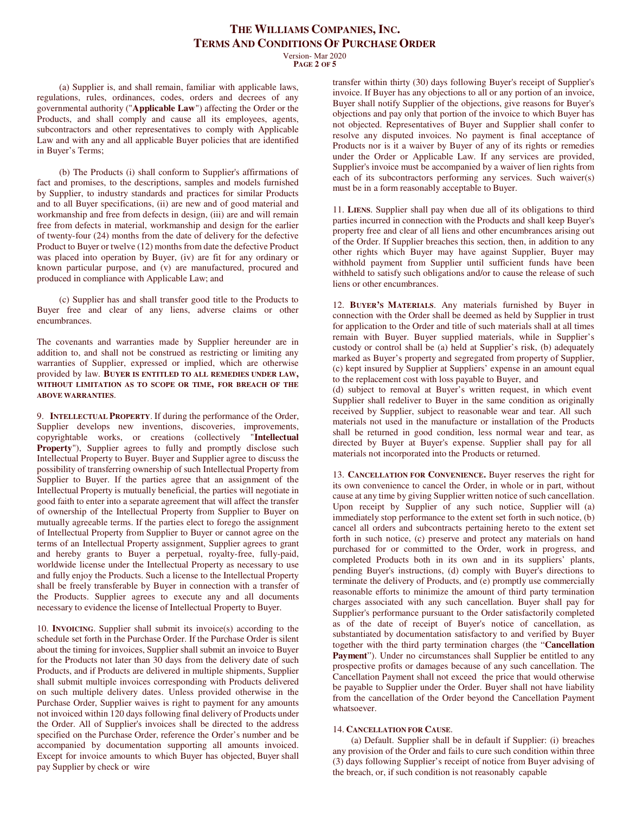Version- Mar 2020 **PAGE 2 OF 5**

(a) Supplier is, and shall remain, familiar with applicable laws, regulations, rules, ordinances, codes, orders and decrees of any governmental authority ("**Applicable Law**") affecting the Order or the Products, and shall comply and cause all its employees, agents, subcontractors and other representatives to comply with Applicable Law and with any and all applicable Buyer policies that are identified in Buyer's Terms;

(b) The Products (i) shall conform to Supplier's affirmations of fact and promises, to the descriptions, samples and models furnished by Supplier, to industry standards and practices for similar Products and to all Buyer specifications, (ii) are new and of good material and workmanship and free from defects in design, (iii) are and will remain free from defects in material, workmanship and design for the earlier of twenty-four (24) months from the date of delivery for the defective Product to Buyer or twelve (12) months from date the defective Product was placed into operation by Buyer, (iv) are fit for any ordinary or known particular purpose, and (v) are manufactured, procured and produced in compliance with Applicable Law; and

(c) Supplier has and shall transfer good title to the Products to Buyer free and clear of any liens, adverse claims or other encumbrances.

The covenants and warranties made by Supplier hereunder are in addition to, and shall not be construed as restricting or limiting any warranties of Supplier, expressed or implied, which are otherwise provided by law. **BUYER IS ENTITLED TO ALL REMEDIES UNDER LAW, WITHOUT LIMITATION AS TO SCOPE OR TIME, FOR BREACH OF THE ABOVE WARRANTIES**.

9. **INTELLECTUAL PROPERTY**. If during the performance of the Order, Supplier develops new inventions, discoveries, improvements, copyrightable works, or creations (collectively "**Intellectual Property**"), Supplier agrees to fully and promptly disclose such Intellectual Property to Buyer. Buyer and Supplier agree to discuss the possibility of transferring ownership of such Intellectual Property from Supplier to Buyer. If the parties agree that an assignment of the Intellectual Property is mutually beneficial, the parties will negotiate in good faith to enter into a separate agreement that will affect the transfer of ownership of the Intellectual Property from Supplier to Buyer on mutually agreeable terms. If the parties elect to forego the assignment of Intellectual Property from Supplier to Buyer or cannot agree on the terms of an Intellectual Property assignment, Supplier agrees to grant and hereby grants to Buyer a perpetual, royalty-free, fully-paid, worldwide license under the Intellectual Property as necessary to use and fully enjoy the Products. Such a license to the Intellectual Property shall be freely transferable by Buyer in connection with a transfer of the Products. Supplier agrees to execute any and all documents necessary to evidence the license of Intellectual Property to Buyer.

10. **INVOICING**. Supplier shall submit its invoice(s) according to the schedule set forth in the Purchase Order. If the Purchase Order is silent about the timing for invoices, Supplier shall submit an invoice to Buyer for the Products not later than 30 days from the delivery date of such Products, and if Products are delivered in multiple shipments, Supplier shall submit multiple invoices corresponding with Products delivered on such multiple delivery dates. Unless provided otherwise in the Purchase Order, Supplier waives is right to payment for any amounts not invoiced within 120 days following final delivery of Products under the Order. All of Supplier's invoices shall be directed to the address specified on the Purchase Order, reference the Order's number and be accompanied by documentation supporting all amounts invoiced. Except for invoice amounts to which Buyer has objected, Buyer shall pay Supplier by check or wire

transfer within thirty (30) days following Buyer's receipt of Supplier's invoice. If Buyer has any objections to all or any portion of an invoice, Buyer shall notify Supplier of the objections, give reasons for Buyer's objections and pay only that portion of the invoice to which Buyer has not objected. Representatives of Buyer and Supplier shall confer to resolve any disputed invoices. No payment is final acceptance of Products nor is it a waiver by Buyer of any of its rights or remedies under the Order or Applicable Law. If any services are provided, Supplier's invoice must be accompanied by a waiver of lien rights from each of its subcontractors performing any services. Such waiver(s) must be in a form reasonably acceptable to Buyer.

11. **LIENS**. Supplier shall pay when due all of its obligations to third parties incurred in connection with the Products and shall keep Buyer's property free and clear of all liens and other encumbrances arising out of the Order. If Supplier breaches this section, then, in addition to any other rights which Buyer may have against Supplier, Buyer may withhold payment from Supplier until sufficient funds have been withheld to satisfy such obligations and/or to cause the release of such liens or other encumbrances.

12. **BUYER'S MATERIALS**. Any materials furnished by Buyer in connection with the Order shall be deemed as held by Supplier in trust for application to the Order and title of such materials shall at all times remain with Buyer. Buyer supplied materials, while in Supplier's custody or control shall be (a) held at Supplier's risk, (b) adequately marked as Buyer's property and segregated from property of Supplier, (c) kept insured by Supplier at Suppliers' expense in an amount equal to the replacement cost with loss payable to Buyer, and

(d) subject to removal at Buyer's written request, in which event Supplier shall redeliver to Buyer in the same condition as originally received by Supplier, subject to reasonable wear and tear. All such materials not used in the manufacture or installation of the Products shall be returned in good condition, less normal wear and tear, as directed by Buyer at Buyer's expense. Supplier shall pay for all materials not incorporated into the Products or returned.

13. **CANCELLATION FOR CONVENIENCE.** Buyer reserves the right for its own convenience to cancel the Order, in whole or in part, without cause at any time by giving Supplier written notice of such cancellation. Upon receipt by Supplier of any such notice, Supplier will (a) immediately stop performance to the extent set forth in such notice, (b) cancel all orders and subcontracts pertaining hereto to the extent set forth in such notice, (c) preserve and protect any materials on hand purchased for or committed to the Order, work in progress, and completed Products both in its own and in its suppliers' plants, pending Buyer's instructions, (d) comply with Buyer's directions to terminate the delivery of Products, and (e) promptly use commercially reasonable efforts to minimize the amount of third party termination charges associated with any such cancellation. Buyer shall pay for Supplier's performance pursuant to the Order satisfactorily completed as of the date of receipt of Buyer's notice of cancellation, as substantiated by documentation satisfactory to and verified by Buyer together with the third party termination charges (the "**Cancellation**  Payment"). Under no circumstances shall Supplier be entitled to any prospective profits or damages because of any such cancellation. The Cancellation Payment shall not exceed the price that would otherwise be payable to Supplier under the Order. Buyer shall not have liability from the cancellation of the Order beyond the Cancellation Payment whatsoever.

#### 14. **CANCELLATION FOR CAUSE**.

(a) Default. Supplier shall be in default if Supplier: (i) breaches any provision of the Order and fails to cure such condition within three (3) days following Supplier's receipt of notice from Buyer advising of the breach, or, if such condition is not reasonably capable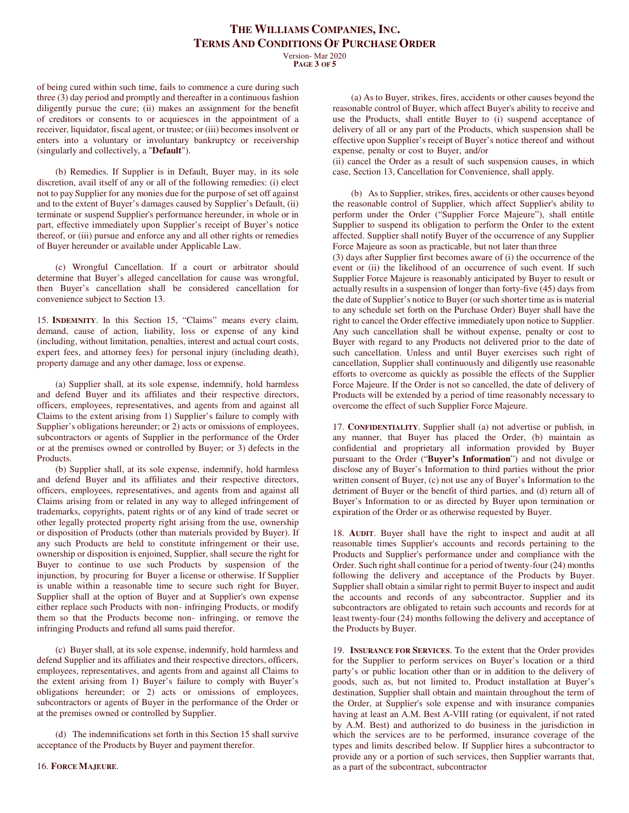Version- Mar 2020 **PAGE 3 OF 5**

of being cured within such time, fails to commence a cure during such three (3) day period and promptly and thereafter in a continuous fashion diligently pursue the cure; (ii) makes an assignment for the benefit of creditors or consents to or acquiesces in the appointment of a receiver, liquidator, fiscal agent, or trustee; or (iii) becomes insolvent or enters into a voluntary or involuntary bankruptcy or receivership (singularly and collectively, a "**Default**").

(b) Remedies. If Supplier is in Default, Buyer may, in its sole discretion, avail itself of any or all of the following remedies: (i) elect not to pay Supplier for any monies due for the purpose of set off against and to the extent of Buyer's damages caused by Supplier's Default, (ii) terminate or suspend Supplier's performance hereunder, in whole or in part, effective immediately upon Supplier's receipt of Buyer's notice thereof, or (iii) pursue and enforce any and all other rights or remedies of Buyer hereunder or available under Applicable Law.

(c) Wrongful Cancellation. If a court or arbitrator should determine that Buyer's alleged cancellation for cause was wrongful, then Buyer's cancellation shall be considered cancellation for convenience subject to Section 13.

15. **INDEMNITY**. In this Section 15, "Claims" means every claim, demand, cause of action, liability, loss or expense of any kind (including, without limitation, penalties, interest and actual court costs, expert fees, and attorney fees) for personal injury (including death), property damage and any other damage, loss or expense.

(a) Supplier shall, at its sole expense, indemnify, hold harmless and defend Buyer and its affiliates and their respective directors, officers, employees, representatives, and agents from and against all Claims to the extent arising from 1) Supplier's failure to comply with Supplier's obligations hereunder; or 2) acts or omissions of employees, subcontractors or agents of Supplier in the performance of the Order or at the premises owned or controlled by Buyer; or 3) defects in the Products.

(b) Supplier shall, at its sole expense, indemnify, hold harmless and defend Buyer and its affiliates and their respective directors, officers, employees, representatives, and agents from and against all Claims arising from or related in any way to alleged infringement of trademarks, copyrights, patent rights or of any kind of trade secret or other legally protected property right arising from the use, ownership or disposition of Products (other than materials provided by Buyer). If any such Products are held to constitute infringement or their use, ownership or disposition is enjoined, Supplier, shall secure the right for Buyer to continue to use such Products by suspension of the injunction, by procuring for Buyer a license or otherwise. If Supplier is unable within a reasonable time to secure such right for Buyer, Supplier shall at the option of Buyer and at Supplier's own expense either replace such Products with non- infringing Products, or modify them so that the Products become non- infringing, or remove the infringing Products and refund all sums paid therefor.

(c) Buyer shall, at its sole expense, indemnify, hold harmless and defend Supplier and its affiliates and their respective directors, officers, employees, representatives, and agents from and against all Claims to the extent arising from 1) Buyer's failure to comply with Buyer's obligations hereunder; or 2) acts or omissions of employees, subcontractors or agents of Buyer in the performance of the Order or at the premises owned or controlled by Supplier.

(d) The indemnifications set forth in this Section 15 shall survive acceptance of the Products by Buyer and payment therefor.

(a) As to Buyer, strikes, fires, accidents or other causes beyond the reasonable control of Buyer, which affect Buyer's ability to receive and use the Products, shall entitle Buyer to (i) suspend acceptance of delivery of all or any part of the Products, which suspension shall be effective upon Supplier's receipt of Buyer's notice thereof and without expense, penalty or cost to Buyer, and/or

(ii) cancel the Order as a result of such suspension causes, in which case, Section 13, Cancellation for Convenience, shall apply.

(b) As to Supplier, strikes, fires, accidents or other causes beyond the reasonable control of Supplier, which affect Supplier's ability to perform under the Order ("Supplier Force Majeure"), shall entitle Supplier to suspend its obligation to perform the Order to the extent affected. Supplier shall notify Buyer of the occurrence of any Supplier Force Majeure as soon as practicable, but not later than three

(3) days after Supplier first becomes aware of (i) the occurrence of the event or (ii) the likelihood of an occurrence of such event. If such Supplier Force Majeure is reasonably anticipated by Buyer to result or actually results in a suspension of longer than forty-five (45) days from the date of Supplier's notice to Buyer (or such shorter time as is material to any schedule set forth on the Purchase Order) Buyer shall have the right to cancel the Order effective immediately upon notice to Supplier. Any such cancellation shall be without expense, penalty or cost to Buyer with regard to any Products not delivered prior to the date of such cancellation. Unless and until Buyer exercises such right of cancellation, Supplier shall continuously and diligently use reasonable efforts to overcome as quickly as possible the effects of the Supplier Force Majeure. If the Order is not so cancelled, the date of delivery of Products will be extended by a period of time reasonably necessary to overcome the effect of such Supplier Force Majeure.

17. **CONFIDENTIALITY**. Supplier shall (a) not advertise or publish, in any manner, that Buyer has placed the Order, (b) maintain as confidential and proprietary all information provided by Buyer pursuant to the Order ("**Buyer's Information**") and not divulge or disclose any of Buyer's Information to third parties without the prior written consent of Buyer, (c) not use any of Buyer's Information to the detriment of Buyer or the benefit of third parties, and (d) return all of Buyer's Information to or as directed by Buyer upon termination or expiration of the Order or as otherwise requested by Buyer.

18. **AUDIT**. Buyer shall have the right to inspect and audit at all reasonable times Supplier's accounts and records pertaining to the Products and Supplier's performance under and compliance with the Order. Such right shall continue for a period of twenty-four (24) months following the delivery and acceptance of the Products by Buyer. Supplier shall obtain a similar right to permit Buyer to inspect and audit the accounts and records of any subcontractor. Supplier and its subcontractors are obligated to retain such accounts and records for at least twenty-four (24) months following the delivery and acceptance of the Products by Buyer.

19. **INSURANCE FOR SERVICES**. To the extent that the Order provides for the Supplier to perform services on Buyer's location or a third party's or public location other than or in addition to the delivery of goods, such as, but not limited to, Product installation at Buyer's destination, Supplier shall obtain and maintain throughout the term of the Order, at Supplier's sole expense and with insurance companies having at least an A.M. Best A-VIII rating (or equivalent, if not rated by A.M. Best) and authorized to do business in the jurisdiction in which the services are to be performed, insurance coverage of the types and limits described below. If Supplier hires a subcontractor to provide any or a portion of such services, then Supplier warrants that, as a part of the subcontract, subcontractor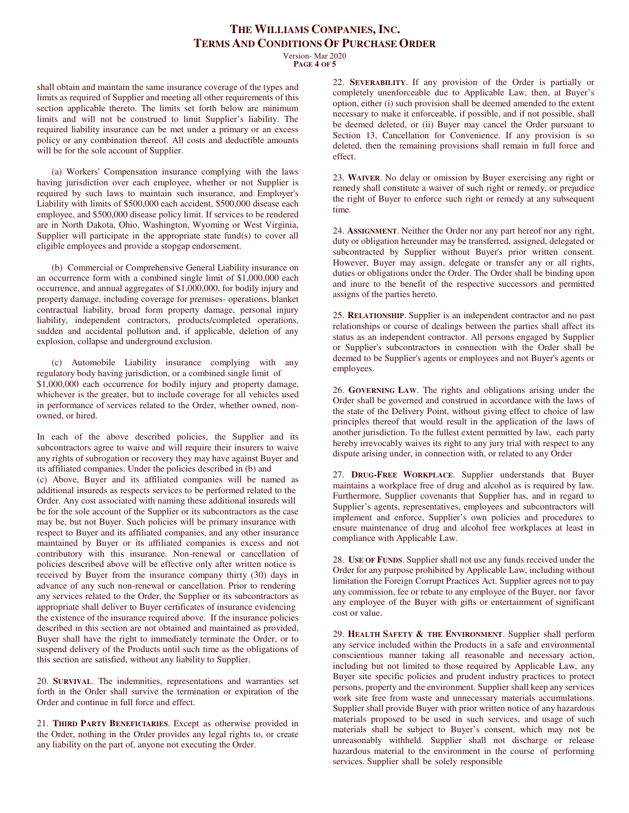Version- Mar 2020 **PAGE 4 OF 5**

shall obtain and maintain the same insurance coverage of the types and limits as required of Supplier and meeting all other requirements of this section applicable thereto. The limits set forth below are minimum limits and will not be construed to limit Supplier's liability. The required liability insurance can be met under a primary or an excess policy or any combination thereof. All costs and deductible amounts will be for the sole account of Supplier.

(a) Workers' Compensation insurance complying with the laws having jurisdiction over each employee, whether or not Supplier is required by such laws to maintain such insurance, and Employer's Liability with limits of \$500,000 each accident, \$500,000 disease each employee, and \$500,000 disease policy limit. If services to be rendered are in North Dakota, Ohio, Washington, Wyoming or West Virginia, Supplier will participate in the appropriate state fund(s) to cover all eligible employees and provide a stopgap endorsement.

(b) Commercial or Comprehensive General Liability insurance on an occurrence form with a combined single limit of \$1,000,000 each occurrence, and annual aggregates of \$1,000,000, for bodily injury and property damage, including coverage for premises- operations, blanket contractual liability, broad form property damage, personal injury liability, independent contractors, products/completed operations, sudden and accidental pollution and, if applicable, deletion of any explosion, collapse and underground exclusion.

(c) Automobile Liability insurance complying with any regulatory body having jurisdiction, or a combined single limit of \$1,000,000 each occurrence for bodily injury and property damage, whichever is the greater, but to include coverage for all vehicles used in performance of services related to the Order, whether owned, nonowned, or hired.

In each of the above described policies, the Supplier and its subcontractors agree to waive and will require their insurers to waive any rights of subrogation or recovery they may have against Buyer and its affiliated companies. Under the policies described in (b) and

(c) Above, Buyer and its affiliated companies will be named as additional insureds as respects services to be performed related to the Order. Any cost associated with naming these additional insureds will be for the sole account of the Supplier or its subcontractors as the case may be, but not Buyer. Such policies will be primary insurance with respect to Buyer and its affiliated companies, and any other insurance maintained by Buyer or its affiliated companies is excess and not contributory with this insurance. Non-renewal or cancellation of policies described above will be effective only after written notice is received by Buyer from the insurance company thirty (30) days in advance of any such non-renewal or cancellation. Prior to rendering any services related to the Order, the Supplier or its subcontractors as appropriate shall deliver to Buyer certificates of insurance evidencing the existence of the insurance required above. If the insurance policies described in this section are not obtained and maintained as provided, Buyer shall have the right to immediately terminate the Order, or to suspend delivery of the Products until such time as the obligations of this section are satisfied, without any liability to Supplier.

20. **SURVIVAL**. The indemnities, representations and warranties set forth in the Order shall survive the termination or expiration of the Order and continue in full force and effect.

21. **THIRD PARTY BENEFICIARIES**. Except as otherwise provided in the Order, nothing in the Order provides any legal rights to, or create any liability on the part of, anyone not executing the Order.

22. **SEVERABILITY**. If any provision of the Order is partially or completely unenforceable due to Applicable Law, then, at Buyer's option, either (i) such provision shall be deemed amended to the extent necessary to make it enforceable, if possible, and if not possible, shall be deemed deleted, or (ii) Buyer may cancel the Order pursuant to Section 13, Cancellation for Convenience. If any provision is so deleted, then the remaining provisions shall remain in full force and effect.

23. **WAIVER**. No delay or omission by Buyer exercising any right or remedy shall constitute a waiver of such right or remedy, or prejudice the right of Buyer to enforce such right or remedy at any subsequent time.

24. **ASSIGNMENT**. Neither the Order nor any part hereof nor any right, duty or obligation hereunder may be transferred, assigned, delegated or subcontracted by Supplier without Buyer's prior written consent. However, Buyer may assign, delegate or transfer any or all rights, duties or obligations under the Order. The Order shall be binding upon and inure to the benefit of the respective successors and permitted assigns of the parties hereto.

25. **RELATIONSHIP**. Supplier is an independent contractor and no past relationships or course of dealings between the parties shall affect its status as an independent contractor. All persons engaged by Supplier or Supplier's subcontractors in connection with the Order shall be deemed to be Supplier's agents or employees and not Buyer's agents or employees.

26. **GOVERNING LAW**. The rights and obligations arising under the Order shall be governed and construed in accordance with the laws of the state of the Delivery Point, without giving effect to choice of law principles thereof that would result in the application of the laws of another jurisdiction. To the fullest extent permitted by law, each party hereby irrevocably waives its right to any jury trial with respect to any dispute arising under, in connection with, or related to any Order

27. **DRUG-FREE WORKPLACE**. Supplier understands that Buyer maintains a workplace free of drug and alcohol as is required by law. Furthermore, Supplier covenants that Supplier has, and in regard to Supplier's agents, representatives, employees and subcontractors will implement and enforce, Supplier's own policies and procedures to ensure maintenance of drug and alcohol free workplaces at least in compliance with Applicable Law.

28. **USE OF FUNDS**. Supplier shall not use any funds received under the Order for any purpose prohibited by Applicable Law, including without limitation the Foreign Corrupt Practices Act. Supplier agrees not to pay any commission, fee or rebate to any employee of the Buyer, nor favor any employee of the Buyer with gifts or entertainment of significant cost or value.

29. **HEALTH SAFETY & THE ENVIRONMENT**. Supplier shall perform any service included within the Products in a safe and environmental conscientious manner taking all reasonable and necessary action, including but not limited to those required by Applicable Law, any Buyer site specific policies and prudent industry practices to protect persons, property and the environment. Supplier shall keep any services work site free from waste and unnecessary materials accumulations. Supplier shall provide Buyer with prior written notice of any hazardous materials proposed to be used in such services, and usage of such materials shall be subject to Buyer's consent, which may not be unreasonably withheld. Supplier shall not discharge or release hazardous material to the environment in the course of performing services. Supplier shall be solely responsible